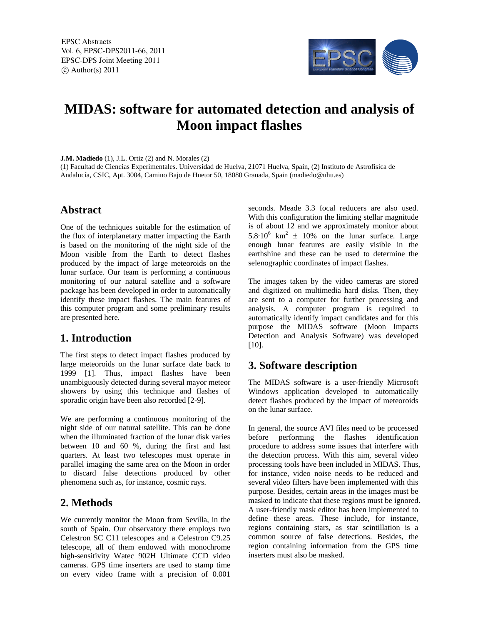EPSC Abstracts Vol. 6, EPSC-DPS2011-66, 2011 EPSC-DPS Joint Meeting 2011  $\circ$  Author(s) 2011



# **MIDAS: software for automated detection and analysis of Moon impact flashes**

**J.M. Madiedo** (1), J.L. Ortiz (2) and N. Morales (2)

(1) Facultad de Ciencias Experimentales. Universidad de Huelva, 21071 Huelva, Spain, (2) Instituto de Astrofísica de Andalucía, CSIC, Apt. 3004, Camino Bajo de Huetor 50, 18080 Granada, Spain (madiedo@uhu.es)

#### **Abstract**

One of the techniques suitable for the estimation of the flux of interplanetary matter impacting the Earth is based on the monitoring of the night side of the Moon visible from the Earth to detect flashes produced by the impact of large meteoroids on the lunar surface. Our team is performing a continuous monitoring of our natural satellite and a software package has been developed in order to automatically identify these impact flashes. The main features of this computer program and some preliminary results are presented here.

## **1. Introduction**

The first steps to detect impact flashes produced by large meteoroids on the lunar surface date back to 1999 [1]. Thus, impact flashes have been unambiguously detected during several mayor meteor showers by using this technique and flashes of sporadic origin have been also recorded [2-9].

We are performing a continuous monitoring of the night side of our natural satellite. This can be done when the illuminated fraction of the lunar disk varies between 10 and 60 %, during the first and last quarters. At least two telescopes must operate in parallel imaging the same area on the Moon in order to discard false detections produced by other phenomena such as, for instance, cosmic rays.

## **2. Methods**

We currently monitor the Moon from Sevilla, in the south of Spain. Our observatory there employs two Celestron SC C11 telescopes and a Celestron C9.25 telescope, all of them endowed with monochrome high-sensitivity Watec 902H Ultimate CCD video cameras. GPS time inserters are used to stamp time on every video frame with a precision of 0.001

seconds. Meade 3.3 focal reducers are also used. With this configuration the limiting stellar magnitude is of about 12 and we approximately monitor about 5.8 $\cdot$ 10<sup>6</sup> km<sup>2</sup>  $\pm$  10% on the lunar surface. Large enough lunar features are easily visible in the earthshine and these can be used to determine the selenographic coordinates of impact flashes.

The images taken by the video cameras are stored and digitized on multimedia hard disks. Then, they are sent to a computer for further processing and analysis. A computer program is required to automatically identify impact candidates and for this purpose the MIDAS software (Moon Impacts Detection and Analysis Software) was developed [10].

## **3. Software description**

The MIDAS software is a user-friendly Microsoft Windows application developed to automatically detect flashes produced by the impact of meteoroids on the lunar surface.

In general, the source AVI files need to be processed before performing the flashes identification procedure to address some issues that interfere with the detection process. With this aim, several video processing tools have been included in MIDAS. Thus, for instance, video noise needs to be reduced and several video filters have been implemented with this purpose. Besides, certain areas in the images must be masked to indicate that these regions must be ignored. A user-friendly mask editor has been implemented to define these areas. These include, for instance, regions containing stars, as star scintillation is a common source of false detections. Besides, the region containing information from the GPS time inserters must also be masked.